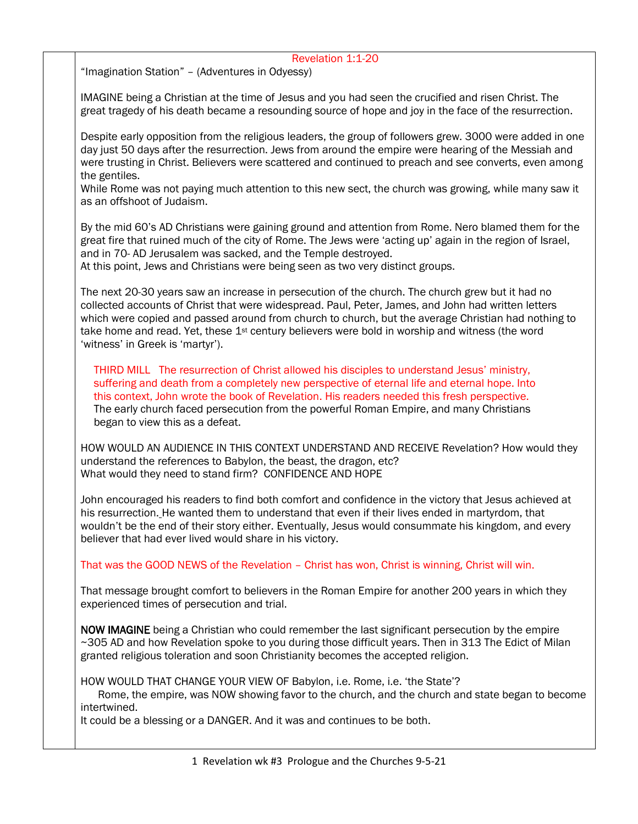## Revelation 1:1-20 "Imagination Station" – (Adventures in Odyessy) IMAGINE being a Christian at the time of Jesus and you had seen the crucified and risen Christ. The great tragedy of his death became a resounding source of hope and joy in the face of the resurrection. Despite early opposition from the religious leaders, the group of followers grew. 3000 were added in one day just 50 days after the resurrection. Jews from around the empire were hearing of the Messiah and were trusting in Christ. Believers were scattered and continued to preach and see converts, even among the gentiles. While Rome was not paying much attention to this new sect, the church was growing, while many saw it as an offshoot of Judaism. By the mid 60's AD Christians were gaining ground and attention from Rome. Nero blamed them for the great fire that ruined much of the city of Rome. The Jews were 'acting up' again in the region of Israel, and in 70- AD Jerusalem was sacked, and the Temple destroyed. At this point, Jews and Christians were being seen as two very distinct groups. The next 20-30 years saw an increase in persecution of the church. The church grew but it had no collected accounts of Christ that were widespread. Paul, Peter, James, and John had written letters which were copied and passed around from church to church, but the average Christian had nothing to take home and read. Yet, these  $1<sup>st</sup>$  century believers were bold in worship and witness (the word 'witness' in Greek is 'martyr'). THIRD MILL The resurrection of Christ allowed his disciples to understand Jesus' ministry, suffering and death from a completely new perspective of eternal life and eternal hope. Into this context, John wrote the book of Revelation. His readers needed this fresh perspective. The early church faced persecution from the powerful Roman Empire, and many Christians began to view this as a defeat. HOW WOULD AN AUDIENCE IN THIS CONTEXT UNDERSTAND AND RECEIVE Revelation? How would they understand the references to Babylon, the beast, the dragon, etc? What would they need to stand firm? CONFIDENCE AND HOPE John encouraged his readers to find both comfort and confidence in the victory that Jesus achieved at his resurrection. He wanted them to understand that even if their lives ended in martyrdom, that wouldn't be the end of their story either. Eventually, Jesus would consummate his kingdom, and every believer that had ever lived would share in his victory. That was the GOOD NEWS of the Revelation – Christ has won, Christ is winning, Christ will win. That message brought comfort to believers in the Roman Empire for another 200 years in which they experienced times of persecution and trial. NOW IMAGINE being a Christian who could remember the last significant persecution by the empire ~305 AD and how Revelation spoke to you during those difficult years. Then in 313 The Edict of Milan granted religious toleration and soon Christianity becomes the accepted religion. HOW WOULD THAT CHANGE YOUR VIEW OF Babylon, i.e. Rome, i.e. 'the State'? Rome, the empire, was NOW showing favor to the church, and the church and state began to become intertwined.

It could be a blessing or a DANGER. And it was and continues to be both.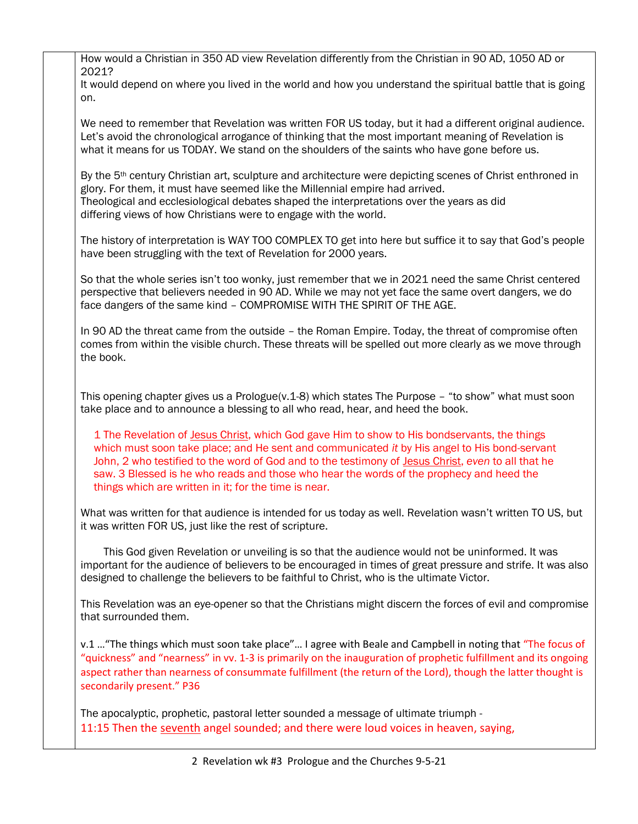| How would a Christian in 350 AD view Revelation differently from the Christian in 90 AD, 1050 AD or<br>2021?                                                                                                                                                                                                                                                                                                                                            |
|---------------------------------------------------------------------------------------------------------------------------------------------------------------------------------------------------------------------------------------------------------------------------------------------------------------------------------------------------------------------------------------------------------------------------------------------------------|
| It would depend on where you lived in the world and how you understand the spiritual battle that is going<br>on.                                                                                                                                                                                                                                                                                                                                        |
| We need to remember that Revelation was written FOR US today, but it had a different original audience.<br>Let's avoid the chronological arrogance of thinking that the most important meaning of Revelation is<br>what it means for us TODAY. We stand on the shoulders of the saints who have gone before us.                                                                                                                                         |
| By the 5 <sup>th</sup> century Christian art, sculpture and architecture were depicting scenes of Christ enthroned in<br>glory. For them, it must have seemed like the Millennial empire had arrived.<br>Theological and ecclesiological debates shaped the interpretations over the years as did<br>differing views of how Christians were to engage with the world.                                                                                   |
| The history of interpretation is WAY TOO COMPLEX TO get into here but suffice it to say that God's people<br>have been struggling with the text of Revelation for 2000 years.                                                                                                                                                                                                                                                                           |
| So that the whole series isn't too wonky, just remember that we in 2021 need the same Christ centered<br>perspective that believers needed in 90 AD. While we may not yet face the same overt dangers, we do<br>face dangers of the same kind - COMPROMISE WITH THE SPIRIT OF THE AGE.                                                                                                                                                                  |
| In 90 AD the threat came from the outside - the Roman Empire. Today, the threat of compromise often<br>comes from within the visible church. These threats will be spelled out more clearly as we move through<br>the book.                                                                                                                                                                                                                             |
| This opening chapter gives us a Prologue( $v.1$ -8) which states The Purpose - "to show" what must soon<br>take place and to announce a blessing to all who read, hear, and heed the book.                                                                                                                                                                                                                                                              |
| 1 The Revelation of Jesus Christ, which God gave Him to show to His bondservants, the things<br>which must soon take place; and He sent and communicated it by His angel to His bond-servant<br>John, 2 who testified to the word of God and to the testimony of Jesus Christ, even to all that he<br>saw. 3 Blessed is he who reads and those who hear the words of the prophecy and heed the<br>things which are written in it; for the time is near. |
| What was written for that audience is intended for us today as well. Revelation wasn't written TO US, but<br>it was written FOR US, just like the rest of scripture.                                                                                                                                                                                                                                                                                    |
| This God given Revelation or unveiling is so that the audience would not be uninformed. It was<br>important for the audience of believers to be encouraged in times of great pressure and strife. It was also<br>designed to challenge the believers to be faithful to Christ, who is the ultimate Victor.                                                                                                                                              |
| This Revelation was an eye-opener so that the Christians might discern the forces of evil and compromise<br>that surrounded them.                                                                                                                                                                                                                                                                                                                       |
| v.1  "The things which must soon take place" I agree with Beale and Campbell in noting that "The focus of<br>"quickness" and "nearness" in vv. 1-3 is primarily on the inauguration of prophetic fulfillment and its ongoing<br>aspect rather than nearness of consummate fulfillment (the return of the Lord), though the latter thought is<br>secondarily present." P36                                                                               |
| The apocalyptic, prophetic, pastoral letter sounded a message of ultimate triumph -<br>11:15 Then the seventh angel sounded; and there were loud voices in heaven, saying,                                                                                                                                                                                                                                                                              |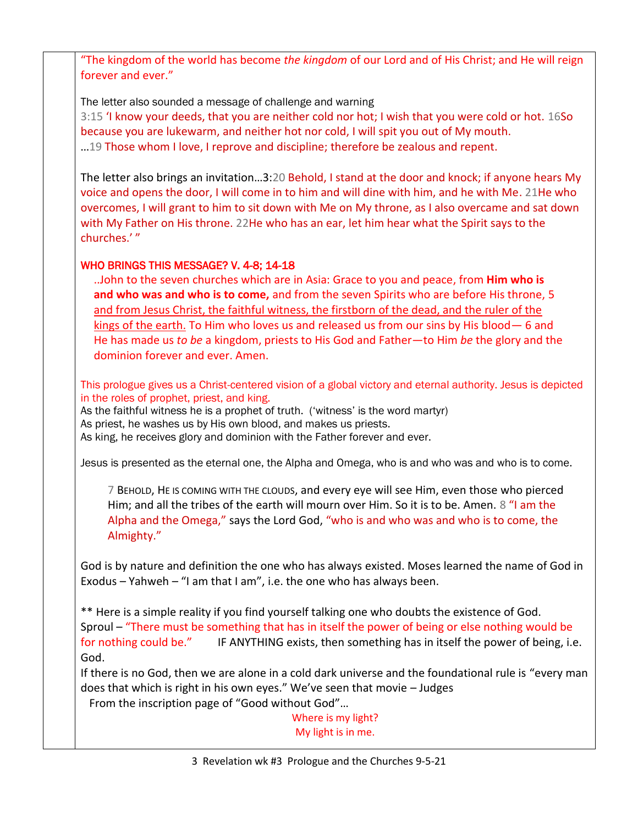"The kingdom of the world has become *the kingdom* of our Lord and of His Christ; and He will reign forever and ever."

The letter also sounded a message of challenge and warning 3:15 'I know your deeds, that you are neither cold nor hot; I wish that you were cold or hot. 16So because you are lukewarm, and neither hot nor cold, I will spit you out of My mouth. …19 Those whom I love, I reprove and discipline; therefore be zealous and repent.

The letter also brings an invitation…3:20 Behold, I stand at the door and knock; if anyone hears My voice and opens the door, I will come in to him and will dine with him, and he with Me. 21He who overcomes, I will grant to him to sit down with Me on My throne, as I also overcame and sat down with My Father on His throne. 22He who has an ear, let him hear what the Spirit says to the churches.' "

## WHO BRINGS THIS MESSAGE? V. 4-8; 14-18

..John to the seven churches which are in Asia: Grace to you and peace, from **Him who is and who was and who is to come,** and from the seven Spirits who are before His throne, 5 and from Jesus Christ, the faithful witness, the firstborn of the dead, and the ruler of the kings of the earth. To Him who loves us and released us from our sins by His blood— 6 and He has made us *to be* a kingdom, priests to His God and Father—to Him *be* the glory and the dominion forever and ever. Amen.

This prologue gives us a Christ-centered vision of a global victory and eternal authority. Jesus is depicted in the roles of prophet, priest, and king.

As the faithful witness he is a prophet of truth. ('witness' is the word martyr)

As priest, he washes us by His own blood, and makes us priests.

As king, he receives glory and dominion with the Father forever and ever.

Jesus is presented as the eternal one, the Alpha and Omega, who is and who was and who is to come.

7 BEHOLD, HE IS COMING WITH THE CLOUDS, and every eye will see Him, even those who pierced Him; and all the tribes of the earth will mourn over Him. So it is to be. Amen. 8 "I am the Alpha and the Omega," says the Lord God, "who is and who was and who is to come, the Almighty."

God is by nature and definition the one who has always existed. Moses learned the name of God in Exodus – Yahweh – "I am that I am", i.e. the one who has always been.

\*\* Here is a simple reality if you find yourself talking one who doubts the existence of God. Sproul – "There must be something that has in itself the power of being or else nothing would be for nothing could be." IF ANYTHING exists, then something has in itself the power of being, i.e. God.

If there is no God, then we are alone in a cold dark universe and the foundational rule is "every man does that which is right in his own eyes." We've seen that movie – Judges

From the inscription page of "Good without God"…

Where is my light? My light is in me.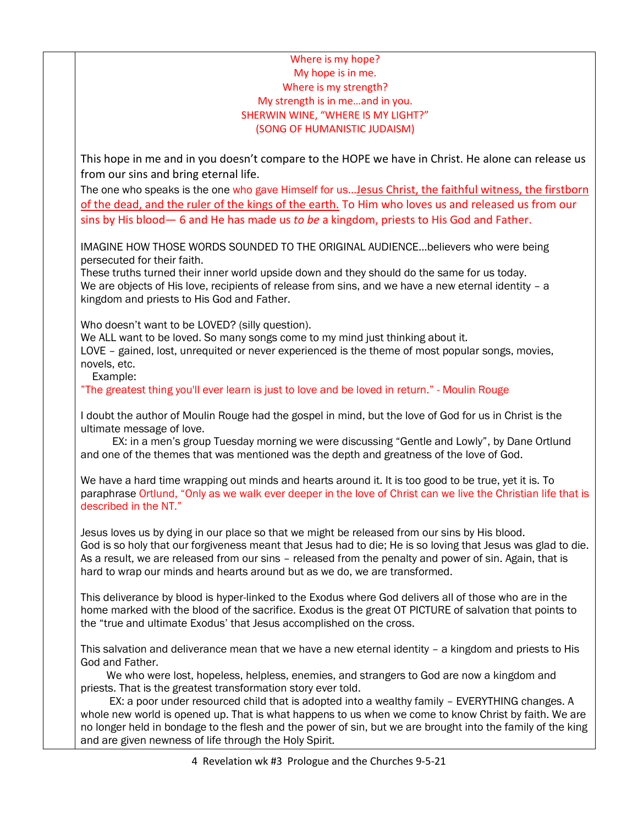## Where is my hope? My hope is in me. Where is my strength? My strength is in me…and in you. SHERWIN WINE, "WHERE IS MY LIGHT?" (SONG OF HUMANISTIC JUDAISM)

This hope in me and in you doesn't compare to the HOPE we have in Christ. He alone can release us from our sins and bring eternal life.

The one who speaks is the one who gave Himself for us…Jesus Christ, the faithful witness, the firstborn of the dead, and the ruler of the kings of the earth. To Him who loves us and released us from our sins by His blood— 6 and He has made us *to be* a kingdom, priests to His God and Father.

IMAGINE HOW THOSE WORDS SOUNDED TO THE ORIGINAL AUDIENCE…believers who were being persecuted for their faith.

These truths turned their inner world upside down and they should do the same for us today. We are objects of His love, recipients of release from sins, and we have a new eternal identity - a kingdom and priests to His God and Father.

Who doesn't want to be LOVED? (silly question).

We ALL want to be loved. So many songs come to my mind just thinking about it.

LOVE – gained, lost, unrequited or never experienced is the theme of most popular songs, movies, novels, etc.

Example:

"The greatest thing you'll ever learn is just to love and be loved in return." - Moulin Rouge

I doubt the author of Moulin Rouge had the gospel in mind, but the love of God for us in Christ is the ultimate message of love.

 EX: in a men's group Tuesday morning we were discussing "Gentle and Lowly", by Dane Ortlund and one of the themes that was mentioned was the depth and greatness of the love of God.

We have a hard time wrapping out minds and hearts around it. It is too good to be true, yet it is. To paraphrase Ortlund, "Only as we walk ever deeper in the love of Christ can we live the Christian life that is described in the NT."

Jesus loves us by dying in our place so that we might be released from our sins by His blood. God is so holy that our forgiveness meant that Jesus had to die; He is so loving that Jesus was glad to die. As a result, we are released from our sins – released from the penalty and power of sin. Again, that is hard to wrap our minds and hearts around but as we do, we are transformed.

This deliverance by blood is hyper-linked to the Exodus where God delivers all of those who are in the home marked with the blood of the sacrifice. Exodus is the great OT PICTURE of salvation that points to the "true and ultimate Exodus' that Jesus accomplished on the cross.

This salvation and deliverance mean that we have a new eternal identity – a kingdom and priests to His God and Father.

 We who were lost, hopeless, helpless, enemies, and strangers to God are now a kingdom and priests. That is the greatest transformation story ever told.

 EX: a poor under resourced child that is adopted into a wealthy family – EVERYTHING changes. A whole new world is opened up. That is what happens to us when we come to know Christ by faith. We are no longer held in bondage to the flesh and the power of sin, but we are brought into the family of the king and are given newness of life through the Holy Spirit.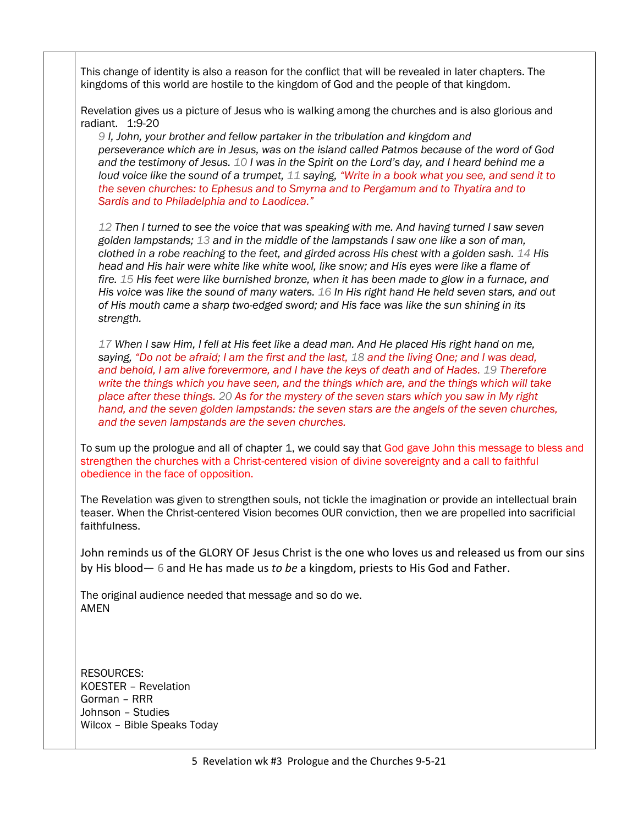This change of identity is also a reason for the conflict that will be revealed in later chapters. The kingdoms of this world are hostile to the kingdom of God and the people of that kingdom.

Revelation gives us a picture of Jesus who is walking among the churches and is also glorious and radiant. 1:9-20

*9 I, John, your brother and fellow partaker in the tribulation and kingdom and perseverance which are in Jesus, was on the island called Patmos because of the word of God and the testimony of Jesus. 10 I was in the Spirit on the Lord's day, and I heard behind me a loud voice like the sound of a trumpet, 11 saying, "Write in a book what you see, and send it to the seven churches: to Ephesus and to Smyrna and to Pergamum and to Thyatira and to Sardis and to Philadelphia and to Laodicea."*

*12 Then I turned to see the voice that was speaking with me. And having turned I saw seven golden lampstands; 13 and in the middle of the lampstands I saw one like a son of man, clothed in a robe reaching to the feet, and girded across His chest with a golden sash. 14 His head and His hair were white like white wool, like snow; and His eyes were like a flame of fire. 15 His feet were like burnished bronze, when it has been made to glow in a furnace, and His voice was like the sound of many waters. 16 In His right hand He held seven stars, and out of His mouth came a sharp two-edged sword; and His face was like the sun shining in its strength.*

*17 When I saw Him, I fell at His feet like a dead man. And He placed His right hand on me, saying, "Do not be afraid; I am the first and the last, 18 and the living One; and I was dead, and behold, I am alive forevermore, and I have the keys of death and of Hades. 19 Therefore write the things which you have seen, and the things which are, and the things which will take place after these things. 20 As for the mystery of the seven stars which you saw in My right hand, and the seven golden lampstands: the seven stars are the angels of the seven churches, and the seven lampstands are the seven churches.*

To sum up the prologue and all of chapter 1, we could say that God gave John this message to bless and strengthen the churches with a Christ-centered vision of divine sovereignty and a call to faithful obedience in the face of opposition.

The Revelation was given to strengthen souls, not tickle the imagination or provide an intellectual brain teaser. When the Christ-centered Vision becomes OUR conviction, then we are propelled into sacrificial faithfulness.

John reminds us of the GLORY OF Jesus Christ is the one who loves us and released us from our sins by His blood— 6 and He has made us *to be* a kingdom, priests to His God and Father.

The original audience needed that message and so do we. AMEN

RESOURCES: KOESTER – Revelation Gorman – RRR Johnson – Studies Wilcox – Bible Speaks Today